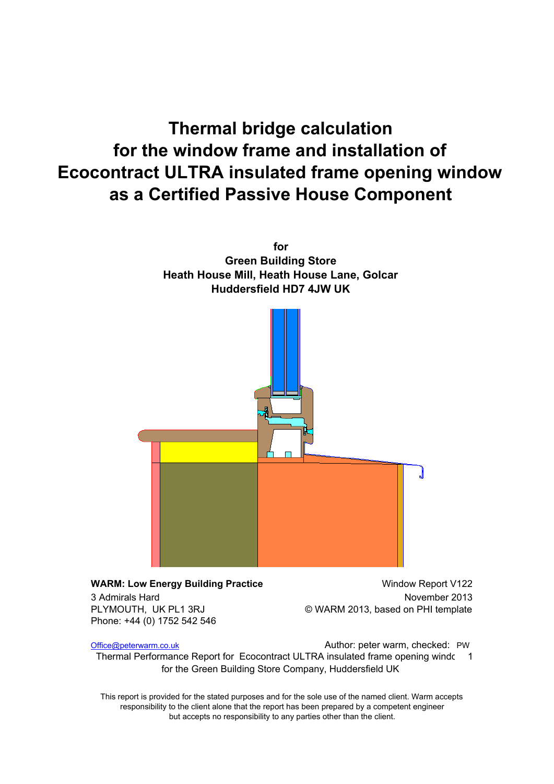# **Thermal bridge calculation for the window frame and installation of Ecocontract ULTRA insulated frame opening window as a Certified Passive House Component**



**WARM: Low Energy Building Practice** Window Report V122 3 Admirals Hard November 2013 PLYMOUTH, UK PL1 3RJ © WARM 2013, based on PHI template Phone: +44 (0) 1752 542 546

Office@peterwarm.co.uk **Communist Communist Communist Communist Communist Communist Communist Communist Communist Communist Communist Communist Communist Communist Communist Communist Communist Communist Communist Communis** 

Thermal Performance Report for Ecocontract ULTRA insulated frame opening windc 1 for the Green Building Store Company, Huddersfield UK

This report is provided for the stated purposes and for the sole use of the named client. Warm accepts responsibility to the client alone that the report has been prepared by a competent engineer but accepts no responsibility to any parties other than the client.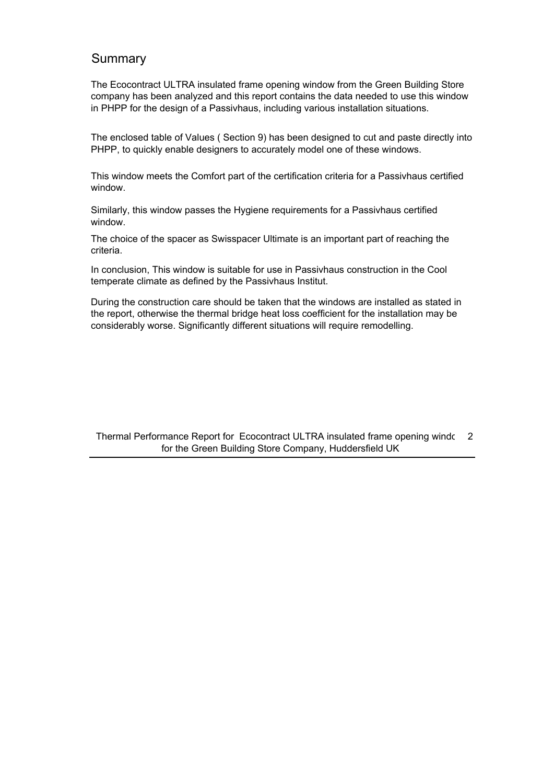### Summary

The Ecocontract ULTRA insulated frame opening window from the Green Building Store company has been analyzed and this report contains the data needed to use this window in PHPP for the design of a Passivhaus, including various installation situations.

The enclosed table of Values ( Section 9) has been designed to cut and paste directly into PHPP, to quickly enable designers to accurately model one of these windows.

This window meets the Comfort part of the certification criteria for a Passivhaus certified window.

Similarly, this window passes the Hygiene requirements for a Passivhaus certified window.

The choice of the spacer as Swisspacer Ultimate is an important part of reaching the criteria.

In conclusion, This window is suitable for use in Passivhaus construction in the Cool temperate climate as defined by the Passivhaus Institut.

During the construction care should be taken that the windows are installed as stated in the report, otherwise the thermal bridge heat loss coefficient for the installation may be considerably worse. Significantly different situations will require remodelling.

Thermal Performance Report for Ecocontract ULTRA insulated frame opening windc 2 for the Green Building Store Company, Huddersfield UK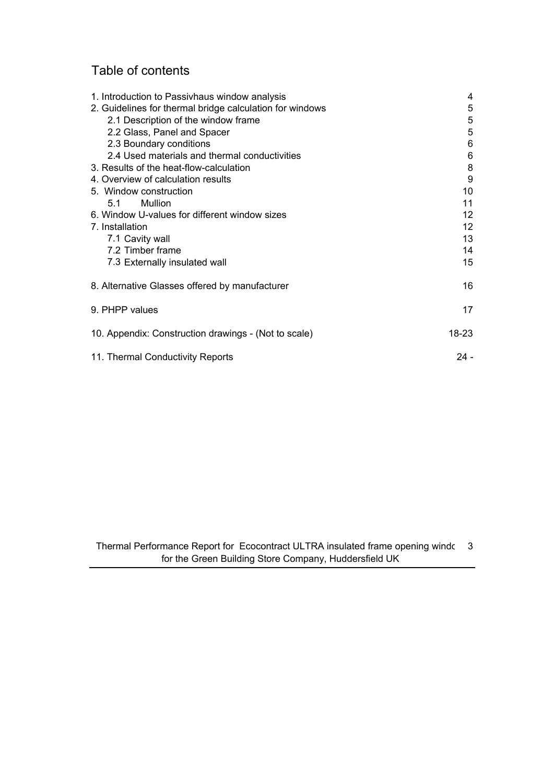## Table of contents

| 1. Introduction to Passivhaus window analysis            | 4      |
|----------------------------------------------------------|--------|
| 2. Guidelines for thermal bridge calculation for windows | 5      |
| 2.1 Description of the window frame                      | 5      |
| 2.2 Glass, Panel and Spacer                              | 5      |
| 2.3 Boundary conditions                                  | 6      |
| 2.4 Used materials and thermal conductivities            | 6      |
| 3. Results of the heat-flow-calculation                  | 8      |
| 4. Overview of calculation results                       | 9      |
| 5. Window construction                                   | 10     |
| Mullion<br>5.1                                           | 11     |
| 6. Window U-values for different window sizes            | 12     |
| 7. Installation                                          | 12     |
| 7.1 Cavity wall                                          | 13     |
| 7.2 Timber frame                                         | 14     |
| 7.3 Externally insulated wall                            | 15     |
| 8. Alternative Glasses offered by manufacturer           | 16     |
| 9. PHPP values                                           | 17     |
| 10. Appendix: Construction drawings - (Not to scale)     | 18-23  |
| 11. Thermal Conductivity Reports                         | $24 -$ |

Thermal Performance Report for Ecocontract ULTRA insulated frame opening windc 3 for the Green Building Store Company, Huddersfield UK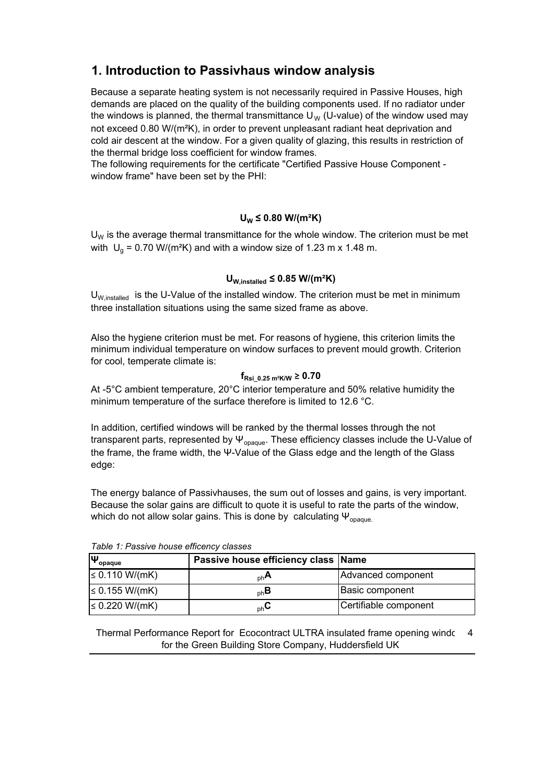### **1. Introduction to Passivhaus window analysis**

Because a separate heating system is not necessarily required in Passive Houses, high demands are placed on the quality of the building components used. If no radiator under the windows is planned, the thermal transmittance  $U_W$  (U-value) of the window used may not exceed 0.80 W/(m²K), in order to prevent unpleasant radiant heat deprivation and cold air descent at the window. For a given quality of glazing, this results in restriction of the thermal bridge loss coefficient for window frames.

The following requirements for the certificate "Certified Passive House Component window frame" have been set by the PHI:

#### **UW ≤ 0.80 W/(m²K)**

 $U_W$  is the average thermal transmittance for the whole window. The criterion must be met with  $\mathsf{U}_{\mathsf{g}}$  = 0.70 W/(m<sup>2</sup>K) and with a window size of 1.23 m x 1.48 m.

#### **UW,installed ≤ 0.85 W/(m²K)**

 $U_{W, \text{installed}}$  is the U-Value of the installed window. The criterion must be met in minimum three installation situations using the same sized frame as above.

Also the hygiene criterion must be met. For reasons of hygiene, this criterion limits the minimum individual temperature on window surfaces to prevent mould growth. Criterion for cool, temperate climate is:

#### **fRsi\_0.25 m²K/W ≥ 0.70**

At -5 $\degree$ C ambient temperature, 20 $\degree$ C interior temperature and 50% relative humidity the minimum temperature of the surface therefore is limited to 12.6 °C.

In addition, certified windows will be ranked by the thermal losses through the not transparent parts, represented by  $\Psi_{\text{onaque}}$ . These efficiency classes include the U-Value of the frame, the frame width, the Ψ-Value of the Glass edge and the length of the Glass edge:

The energy balance of Passivhauses, the sum out of losses and gains, is very important. Because the solar gains are difficult to quote it is useful to rate the parts of the window, which do not allow solar gains. This is done by calculating  $\Psi_{\text{onaque}}$ .

| $\Psi_{\text{opause}}$ | Passive house efficiency class Name |                        |  |  |  |
|------------------------|-------------------------------------|------------------------|--|--|--|
| ≤ 0.110 W/(mK)         | $n h$ A                             | Advanced component     |  |  |  |
| ≤ 0.155 W/(mK)         | $_{\rm ph}$ B                       | <b>Basic component</b> |  |  |  |
| ≤ 0.220 W/(mK)         | $_{\rm ph}$ U                       | Certifiable component  |  |  |  |

Table 1: Passive house efficency classes

Thermal Performance Report for Ecocontract ULTRA insulated frame opening windc 4 for the Green Building Store Company, Huddersfield UK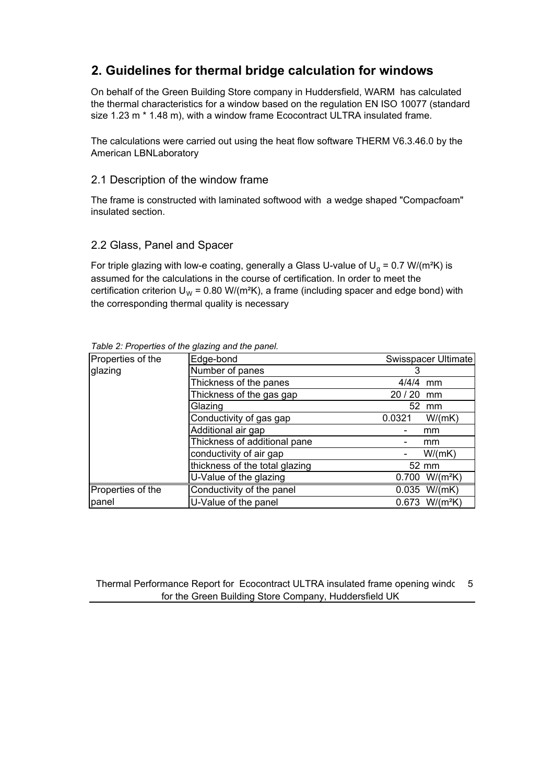### **2. Guidelines for thermal bridge calculation for windows**

On behalf of the Green Building Store company in Huddersfield, WARM has calculated the thermal characteristics for a window based on the regulation EN ISO 10077 (standard size 1.23 m \* 1.48 m), with a window frame Ecocontract ULTRA insulated frame.

The calculations were carried out using the heat flow software THERM V6.3.46.0 by the American LBNLaboratory

#### 2.1 Description of the window frame

The frame is constructed with laminated softwood with a wedge shaped "Compacfoam" insulated section.

#### 2.2 Glass, Panel and Spacer

For triple glazing with low-e coating, generally a Glass U-value of  $U_g$  = 0.7 W/(m<sup>2</sup>K) is assumed for the calculations in the course of certification. In order to meet the certification criterion  $U_w = 0.80 \text{ W/(m²K)}$ , a frame (including spacer and edge bond) with the corresponding thermal quality is necessary

| Properties of the | Edge-bond<br>Swisspacer Ultimate |                              |  |
|-------------------|----------------------------------|------------------------------|--|
| glazing           | Number of panes                  | 3                            |  |
|                   | Thickness of the panes           | 4/4/4<br>mm                  |  |
|                   | Thickness of the gas gap         | 20/20<br>mm                  |  |
|                   | Glazing                          | 52 mm                        |  |
|                   | Conductivity of gas gap          | 0.0321<br>W/(mK)             |  |
|                   | Additional air gap               | mm                           |  |
|                   | Thickness of additional pane     | mm                           |  |
|                   | conductivity of air gap          | W/(mK)                       |  |
|                   | thickness of the total glazing   | 52 mm                        |  |
|                   | U-Value of the glazing           | 0.700<br>$W/(m^2K)$          |  |
| Properties of the | Conductivity of the panel        | $0.035$ W/(mK)               |  |
| panel             | U-Value of the panel             | $0.673$ W/(m <sup>2</sup> K) |  |

Table 2: Properties of the glazing and the panel.

Thermal Performance Report for Ecocontract ULTRA insulated frame opening windc 5 for the Green Building Store Company, Huddersfield UK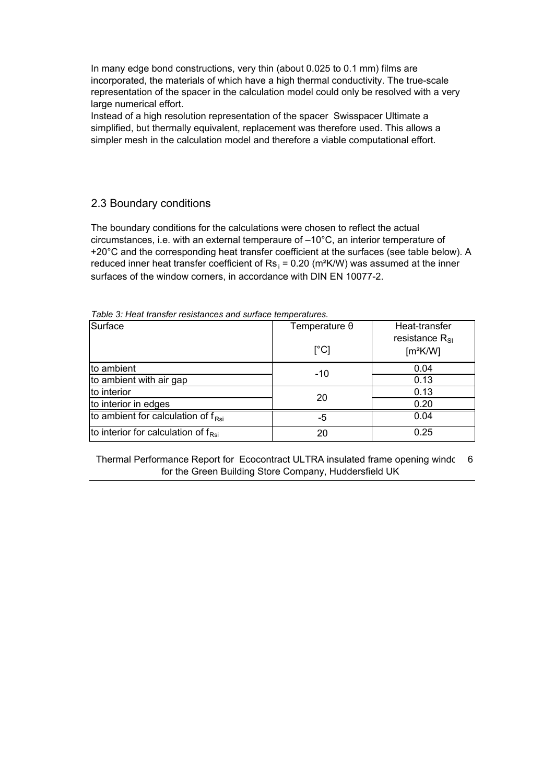In many edge bond constructions, very thin (about 0.025 to 0.1 mm) films are incorporated, the materials of which have a high thermal conductivity. The true-scale representation of the spacer in the calculation model could only be resolved with a very large numerical effort.

Instead of a high resolution representation of the spacer Swisspacer Ultimate a simplified, but thermally equivalent, replacement was therefore used. This allows a simpler mesh in the calculation model and therefore a viable computational effort.

### 2.3 Boundary conditions

The boundary conditions for the calculations were chosen to reflect the actual circumstances, i.e. with an external temperaure of –10°C, an interior temperature of +20°C and the corresponding heat transfer coefficient at the surfaces (see table below). A reduced inner heat transfer coefficient of  $\text{Rs}_1$  = 0.20 (m<sup>2</sup>K/W) was assumed at the inner surfaces of the window corners, in accordance with DIN EN 10077-2.

| Surface                                         | Temperature $\theta$      | Heat-transfer<br>resistance $R_{\rm SI}$ |
|-------------------------------------------------|---------------------------|------------------------------------------|
|                                                 | $\lceil{^{\circ}C}\rceil$ | [m <sup>2</sup> K/W]                     |
| to ambient                                      | $-10$                     | 0.04                                     |
| to ambient with air gap                         |                           | 0.13                                     |
| to interior                                     | 20                        | 0.13                                     |
| to interior in edges                            |                           | 0.20                                     |
| to ambient for calculation of $f_{\text{Rsi}}$  | -5                        | 0.04                                     |
| to interior for calculation of $f_{\text{Rsi}}$ | 20                        | 0.25                                     |

Table 3: Heat transfer resistances and surface temperatures.

Thermal Performance Report for Ecocontract ULTRA insulated frame opening windc 6 for the Green Building Store Company, Huddersfield UK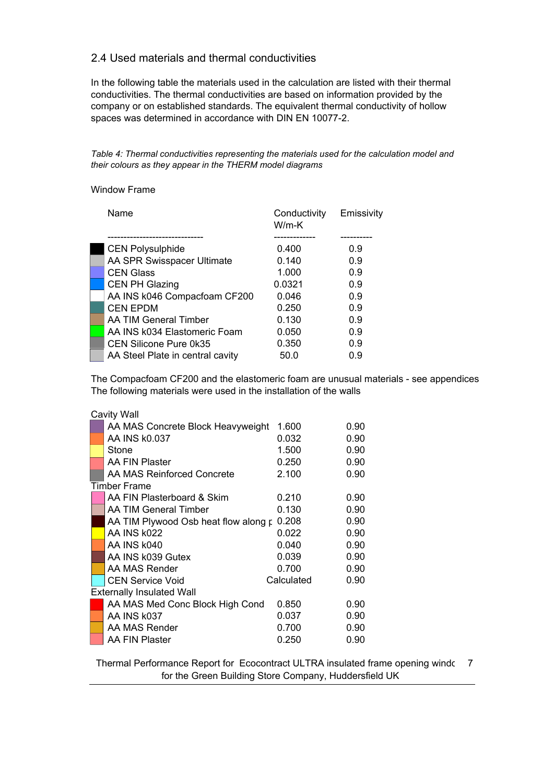#### 2.4 Used materials and thermal conductivities

In the following table the materials used in the calculation are listed with their thermal conductivities. The thermal conductivities are based on information provided by the company or on established standards. The equivalent thermal conductivity of hollow spaces was determined in accordance with DIN EN 10077-2.

Table 4: Thermal conductivities representing the materials used for the calculation model and *their colours as they appear in the THERM model diagrams* 

#### Window Frame

| Name                             | Conductivity<br>$W/m-K$ | Emissivity |
|----------------------------------|-------------------------|------------|
|                                  |                         |            |
| <b>CEN Polysulphide</b>          | 0.400                   | 0.9        |
| AA SPR Swisspacer Ultimate       | 0.140                   | 0.9        |
| <b>CEN Glass</b>                 | 1.000                   | 0.9        |
| <b>CEN PH Glazing</b>            | 0.0321                  | 0.9        |
| AA INS k046 Compacfoam CF200     | 0.046                   | 0.9        |
| <b>CEN EPDM</b>                  | 0.250                   | 0.9        |
| AA TIM General Timber            | 0.130                   | 0.9        |
| AA INS k034 Elastomeric Foam     | 0.050                   | 0.9        |
| CEN Silicone Pure 0k35           | 0.350                   | 0.9        |
| AA Steel Plate in central cavity | 50.0                    | 0.9        |

The Compacfoam CF200 and the elastomeric foam are unusual materials - see appendices The following materials were used in the installation of the walls

| <b>Cavity Wall</b>                   |            |      |
|--------------------------------------|------------|------|
| AA MAS Concrete Block Heavyweight    | 1.600      | 0.90 |
| AA INS k0.037                        | 0.032      | 0.90 |
| Stone                                | 1.500      | 0.90 |
| AA FIN Plaster                       | 0.250      | 0.90 |
| AA MAS Reinforced Concrete           | 2.100      | 0.90 |
| <b>Timber Frame</b>                  |            |      |
| AA FIN Plasterboard & Skim           | 0.210      | 0.90 |
| AA TIM General Timber                | 0.130      | 0.90 |
| AA TIM Plywood Osb heat flow along p | 0.208      | 0.90 |
| AA INS k022                          | 0.022      | 0.90 |
| AA INS k040                          | 0.040      | 0.90 |
| AA INS k039 Gutex                    | 0.039      | 0.90 |
| AA MAS Render                        | 0.700      | 0.90 |
| <b>CEN Service Void</b>              | Calculated | 0.90 |
| <b>Externally Insulated Wall</b>     |            |      |
| AA MAS Med Conc Block High Cond      | 0.850      | 0.90 |
| AA INS k037                          | 0.037      | 0.90 |
| AA MAS Render                        | 0.700      | 0.90 |
| AA FIN Plaster                       | 0.250      | 0.90 |

Thermal Performance Report for Ecocontract ULTRA insulated frame opening windc 7 for the Green Building Store Company, Huddersfield UK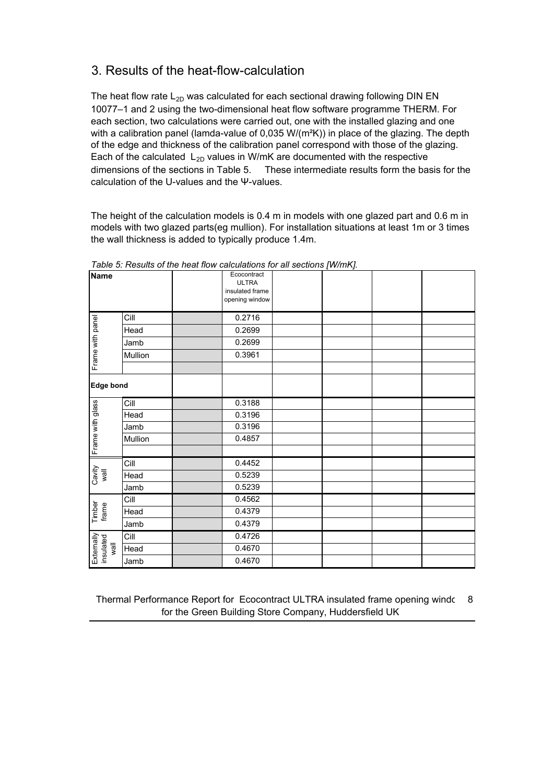### 3. Results of the heat-flow-calculation

The heat flow rate  $L_{2D}$  was calculated for each sectional drawing following DIN EN 10077–1 and 2 using the two-dimensional heat flow software programme THERM. For each section, two calculations were carried out, one with the installed glazing and one with a calibration panel (lamda-value of 0,035 W/( $m<sup>2</sup>K$ )) in place of the glazing. The depth of the edge and thickness of the calibration panel correspond with those of the glazing. Each of the calculated  $L_{2D}$  values in W/mK are documented with the respective dimensions of the sections in Table 5. These intermediate results form the basis for the calculation of the U-values and the Ψ-values.

The height of the calculation models is 0.4 m in models with one glazed part and 0.6 m in models with two glazed parts(eg mullion). For installation situations at least 1m or 3 times the wall thickness is added to typically produce 1.4m.

| <b>Name</b>                     |         | Ecocontract<br><b>ULTRA</b><br>insulated frame<br>opening window |  |  |
|---------------------------------|---------|------------------------------------------------------------------|--|--|
|                                 | Cill    | 0.2716                                                           |  |  |
| Frame with panel                | Head    | 0.2699                                                           |  |  |
|                                 | Jamb    | 0.2699                                                           |  |  |
|                                 | Mullion | 0.3961                                                           |  |  |
|                                 |         |                                                                  |  |  |
| <b>Edge bond</b>                |         |                                                                  |  |  |
|                                 | Cill    | 0.3188                                                           |  |  |
| Frame with glass                | Head    | 0.3196                                                           |  |  |
|                                 | Jamb    | 0.3196                                                           |  |  |
|                                 | Mullion | 0.4857                                                           |  |  |
|                                 |         |                                                                  |  |  |
|                                 | Cill    | 0.4452                                                           |  |  |
| Cavity<br>wall                  | Head    | 0.5239                                                           |  |  |
|                                 | Jamb    | 0.5239                                                           |  |  |
|                                 | Cill    | 0.4562                                                           |  |  |
| Timber<br>frame                 | Head    | 0.4379                                                           |  |  |
|                                 | Jamb    | 0.4379                                                           |  |  |
|                                 | Cill    | 0.4726                                                           |  |  |
| Externally<br>insulated<br>Wall | Head    | 0.4670                                                           |  |  |
|                                 | Jamb    | 0.4670                                                           |  |  |

*Table 5: Results of the heat flow calculations for all sections [W/mK].* 

Thermal Performance Report for Ecocontract ULTRA insulated frame opening windc 8 for the Green Building Store Company, Huddersfield UK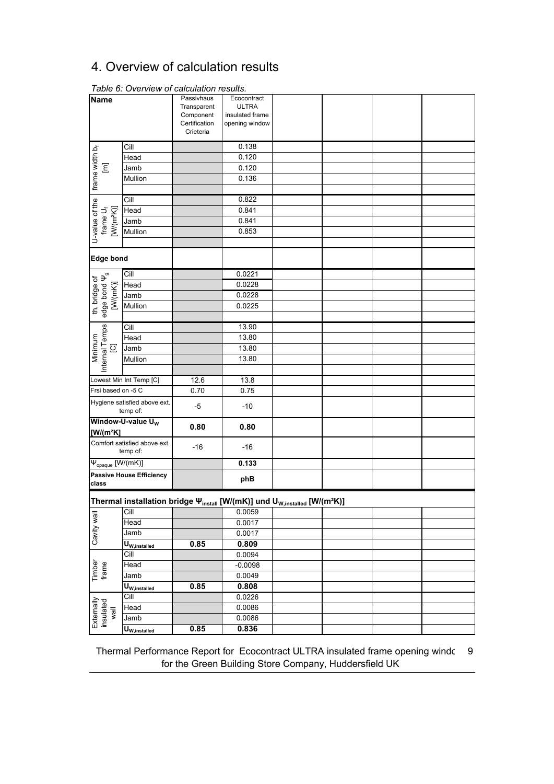### 4. Overview of calculation results

| <b>Name</b>                         |                                                                                                   | Passivhaus                 | Ecocontract                       |  |  |
|-------------------------------------|---------------------------------------------------------------------------------------------------|----------------------------|-----------------------------------|--|--|
|                                     |                                                                                                   | Transparent                | <b>ULTRA</b>                      |  |  |
|                                     |                                                                                                   | Component<br>Certification | insulated frame<br>opening window |  |  |
|                                     |                                                                                                   | Crieteria                  |                                   |  |  |
|                                     | Cill                                                                                              |                            | 0.138                             |  |  |
|                                     | Head                                                                                              |                            | 0.120                             |  |  |
| $\overline{\Xi}$                    | Jamb                                                                                              |                            | 0.120                             |  |  |
|                                     | Mullion                                                                                           |                            | 0.136                             |  |  |
| frame width b <sub>f</sub>          |                                                                                                   |                            |                                   |  |  |
|                                     |                                                                                                   |                            | 0.822                             |  |  |
|                                     | Head                                                                                              |                            | 0.841                             |  |  |
|                                     | Jamb                                                                                              |                            | 0.841                             |  |  |
| $[W/(m^2K)]$                        | Mullion                                                                                           |                            | 0.853                             |  |  |
| U-value of the<br>frame $U_f$       |                                                                                                   |                            |                                   |  |  |
| <b>Edge bond</b>                    |                                                                                                   |                            |                                   |  |  |
|                                     | Cill                                                                                              |                            | 0.0221                            |  |  |
| th. bridge of<br>edge bond $\Psi_g$ | Head                                                                                              |                            | 0.0228                            |  |  |
| [W(mK)]                             | Jamb                                                                                              |                            | 0.0228                            |  |  |
|                                     | Mullion                                                                                           |                            | 0.0225                            |  |  |
|                                     |                                                                                                   |                            |                                   |  |  |
|                                     | Cill                                                                                              |                            | 13.90                             |  |  |
| Internal Temps                      | Head                                                                                              |                            | 13.80                             |  |  |
| $\overline{\omega}$                 | Jamb                                                                                              |                            | 13.80                             |  |  |
| Minimum                             | Mullion                                                                                           |                            | 13.80                             |  |  |
|                                     |                                                                                                   |                            |                                   |  |  |
|                                     | Lowest Min Int Temp [C]                                                                           | 12.6                       | 13.8                              |  |  |
| Frsi based on -5 C                  |                                                                                                   | 0.70                       | 0.75                              |  |  |
|                                     | Hygiene satisfied above ext.<br>temp of:                                                          | -5                         | $-10$                             |  |  |
|                                     | Window-U-value U <sub>w</sub>                                                                     | 0.80                       | 0.80                              |  |  |
| $[W/(m^2K)]$                        |                                                                                                   |                            |                                   |  |  |
|                                     | Comfort satisfied above ext.<br>temp of:                                                          | $-16$                      | $-16$                             |  |  |
| $\Psi_{\text{opaque}}$ [W/(mK)]     |                                                                                                   |                            | 0.133                             |  |  |
| class                               | <b>Passive House Efficiency</b>                                                                   |                            | phB                               |  |  |
|                                     | Thermal installation bridge \mustall [W/(mK)] und U <sub>W,installed</sub> [W/(m <sup>2</sup> K)] |                            |                                   |  |  |
|                                     | Cill                                                                                              |                            | 0.0059                            |  |  |
|                                     | Head                                                                                              |                            | 0.0017                            |  |  |
| Cavity wall                         | Jamb                                                                                              |                            | 0.0017                            |  |  |
|                                     | $\textbf{U}_{\text{W,installed}}$                                                                 | 0.85                       | 0.809                             |  |  |
|                                     | Cill                                                                                              |                            | 0.0094                            |  |  |
| Timber<br>frame                     | Head                                                                                              |                            | $-0.0098$                         |  |  |
|                                     | Jamb                                                                                              |                            | 0.0049                            |  |  |
|                                     | $U_{w, \text{instead}}$                                                                           | 0.85                       | 0.808                             |  |  |
|                                     | Cill                                                                                              |                            | 0.0226                            |  |  |
| Externally<br>insulated<br>Wall     | Head                                                                                              |                            | 0.0086                            |  |  |
|                                     | Jamb                                                                                              |                            | 0.0086                            |  |  |
|                                     | U <sub>W,installed</sub>                                                                          | 0.85                       | 0.836                             |  |  |

Table 6: Overview of calculation results.

Thermal Performance Report for Ecocontract ULTRA insulated frame opening windc 9 for the Green Building Store Company, Huddersfield UK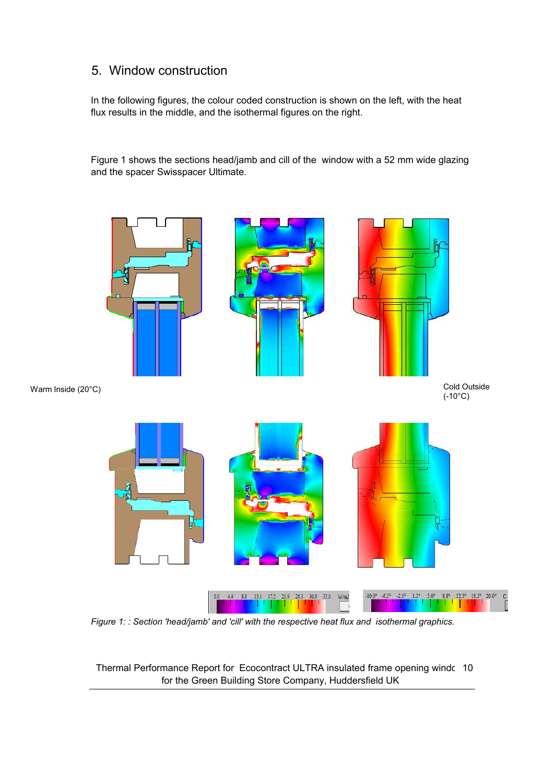### 5. Window construction

In the following figures, the colour coded construction is shown on the left, with the heat flux results in the middle, and the isothermal figures on the right.

Figure 1 shows the sections head/jamb and cill of the window with a 52 mm wide glazing and the spacer Swisspacer Ultimate.



*Figure 1: : Section 'head/jamb' and 'cill' with the respective heat flux and isothermal graphics.* 

Thermal Performance Report for Ecocontract ULTRA insulated frame opening windc 10 for the Green Building Store Company, Huddersfield UK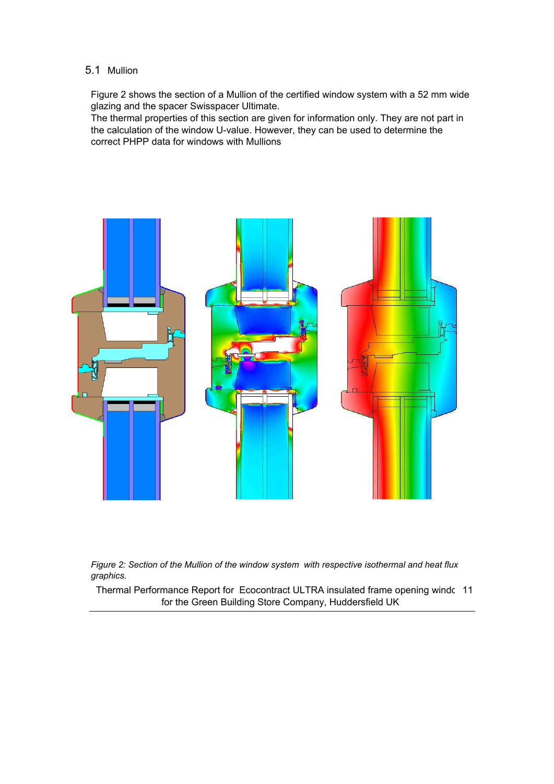#### 5.1 Mullion

Figure 2 shows the section of a Mullion of the certified window system with a 52 mm wide glazing and the spacer Swisspacer Ultimate.

The thermal properties of this section are given for information only. They are not part in the calculation of the window U-value. However, they can be used to determine the correct PHPP data for windows with Mullions





Thermal Performance Report for Ecocontract ULTRA insulated frame opening windc 11 for the Green Building Store Company, Huddersfield UK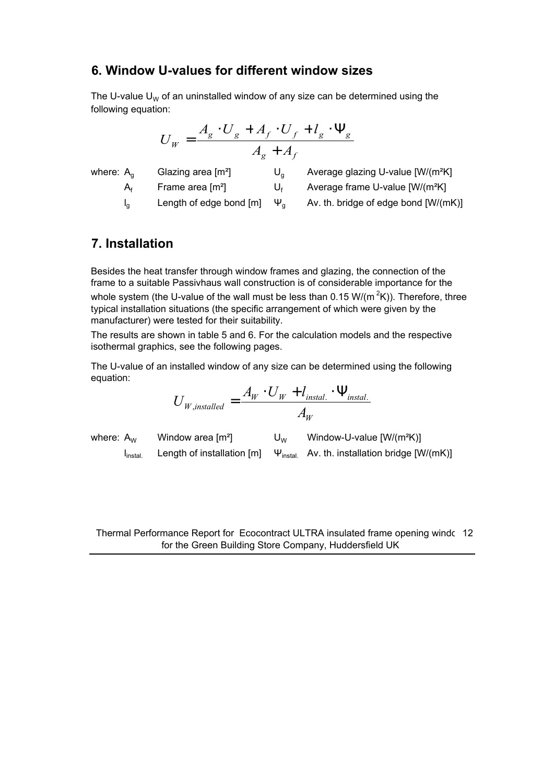### **6. Window U>values for different window sizes**

The U-value U<sub>W</sub> of an uninstalled window of any size can be determined using the following equation:

$$
U_W = \frac{A_g \cdot U_g + A_f \cdot U_f + l_g \cdot \Psi_g}{A_g + A_f}
$$

where: 
$$
\beta
$$

 $\mathsf{A}_{g}$  Glazing area [m<sup>2</sup>] U<sub>g</sub> Average glazing U-value [W/(m<sup>2</sup>K]

 $I_0$  Length of edge bond  $[m]$   $\Psi_a$  Av. th. bridge of edge bond  $[W/(mK)]$ 

 $A_f$  Frame area [m<sup>2</sup>] U<sub>f</sub> Average frame U-value [W/(m<sup>2</sup>K]

### **7. Installation**

Besides the heat transfer through window frames and glazing, the connection of the frame to a suitable Passivhaus wall construction is of considerable importance for the whole system (the U-value of the wall must be less than 0.15 W/( $m^2K$ )). Therefore, three typical installation situations (the specific arrangement of which were given by the manufacturer) were tested for their suitability.

The results are shown in table 5 and 6. For the calculation models and the respective isothermal graphics, see the following pages.

The U-value of an installed window of any size can be determined using the following equation:

$$
U_{W, \text{instead}} = \frac{A_W \cdot U_W + l_{\text{install.}} \cdot \Psi_{\text{install.}}}{A_W}
$$

where:  $A_W$  Window area  $[m^2]$  U<sub>W</sub> Window-U-value  $[W/(m^2K)]$  $I<sub>instal</sub>$ Length of installation [m]  $\Psi_{\text{instal}}$  Av. th. installation bridge [W/(mK)]

Thermal Performance Report for Ecocontract ULTRA insulated frame opening windown 12 for the Green Building Store Company, Huddersfield UK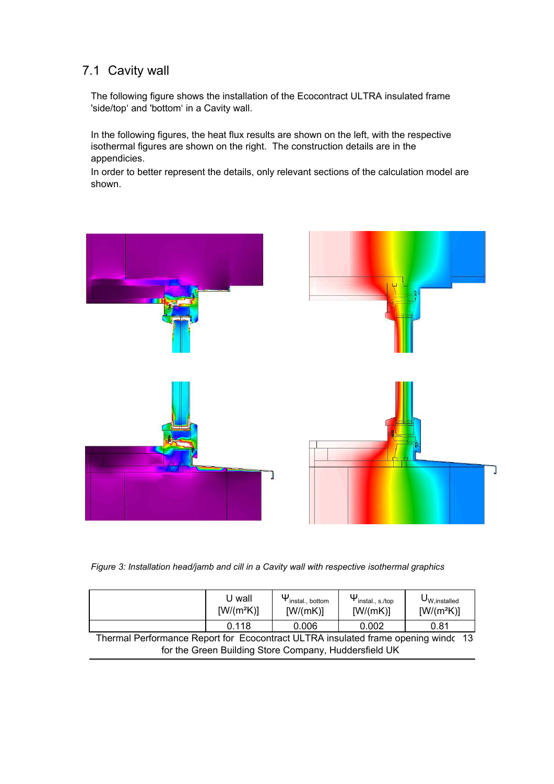### 7.1 Cavity wall

The following figure shows the installation of the Ecocontract ULTRA insulated frame 'side/top' and 'bottom' in a Cavity wall.

In the following figures, the heat flux results are shown on the left, with the respective isothermal figures are shown on the right. The construction details are in the appendicies.

In order to better represent the details, only relevant sections of the calculation model are shown.



*Figure 3: Installation head/jamb and cill in a Cavity wall with respective isothermal graphics* 

|                                                                                    | U wall<br>$[W/(m^2K)]$ | $\Psi_{\text{install., bottom}}$<br>[W/(mK)] | $\Psi_{\mathsf{install.}, \, \mathsf{s}.\mathsf{/top}}$<br>[W/(mK)] | $U_{W, \text{installed}}$<br>$[W/(m^2K)]$ |  |
|------------------------------------------------------------------------------------|------------------------|----------------------------------------------|---------------------------------------------------------------------|-------------------------------------------|--|
|                                                                                    | 0.118                  | 0.006                                        | 0.002                                                               | 0.81                                      |  |
| Thermal Performance Report for Ecocontract ULTRA insulated frame opening wind (13) |                        |                                              |                                                                     |                                           |  |
| for the Green Building Store Company, Huddersfield UK                              |                        |                                              |                                                                     |                                           |  |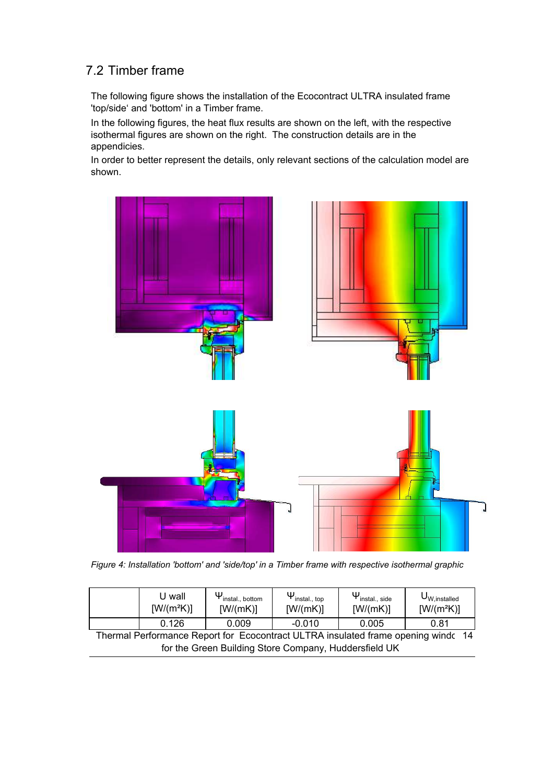### 7.2 Timber frame

The following figure shows the installation of the Ecocontract ULTRA insulated frame 'top/side' and 'bottom' in a Timber frame.

In the following figures, the heat flux results are shown on the left, with the respective isothermal figures are shown on the right. The construction details are in the appendicies.

In order to better represent the details, only relevant sections of the calculation model are shown.



Figure 4: Installation 'bottom' and 'side/top' in a Timber frame with respective isothermal graphic

|                                                       | U wall<br>$[W/(m^2K)]$ | $\Psi_{\text{install., bottom}}$<br>[W/(mK)] | $\Psi_{\text{install., top}}$<br>[W/(mK)] | $\Psi_{\mathsf{install.}, \mathsf{side}}$<br>[W/(mK)] | $\mathsf{U}_{\mathsf{W},\mathsf{installed}}$<br>$[W/(m^2K)]$                      |
|-------------------------------------------------------|------------------------|----------------------------------------------|-------------------------------------------|-------------------------------------------------------|-----------------------------------------------------------------------------------|
|                                                       | 0.126                  | 0.009                                        | $-0.010$                                  | 0.005                                                 | 0.81                                                                              |
|                                                       |                        |                                              |                                           |                                                       | Thermal Performance Report for Ecocontract ULTRA insulated frame opening windc 14 |
| for the Green Building Store Company, Huddersfield UK |                        |                                              |                                           |                                                       |                                                                                   |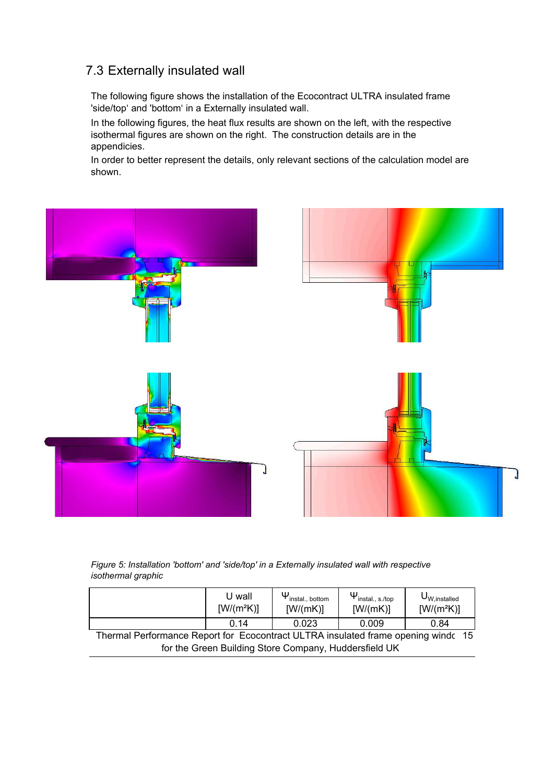### 7.3 Externally insulated wall

The following figure shows the installation of the Ecocontract ULTRA insulated frame 'side/top' and 'bottom' in a Externally insulated wall.

In the following figures, the heat flux results are shown on the left, with the respective isothermal figures are shown on the right. The construction details are in the appendicies.

In order to better represent the details, only relevant sections of the calculation model are shown.



#### Figure 5: Installation 'bottom' and 'side/top' in a Externally insulated wall with respective  *--*

|                                                                                   | U wall<br>$[W/(m^2K)]$ | $\Psi_{\text{install., bottom}}$<br>[W/(mK)] | $\Psi_{\mathsf{install., s./top}}$<br>[W/(mK)] | $U_{W, \text{instead}}$<br>$[W/(m^2K)]$ |  |
|-----------------------------------------------------------------------------------|------------------------|----------------------------------------------|------------------------------------------------|-----------------------------------------|--|
|                                                                                   | 0.14                   | 0.023                                        | 0.009                                          | 0.84                                    |  |
| Thermal Performance Report for Ecocontract ULTRA insulated frame opening windc 15 |                        |                                              |                                                |                                         |  |
| for the Green Building Store Company, Huddersfield UK                             |                        |                                              |                                                |                                         |  |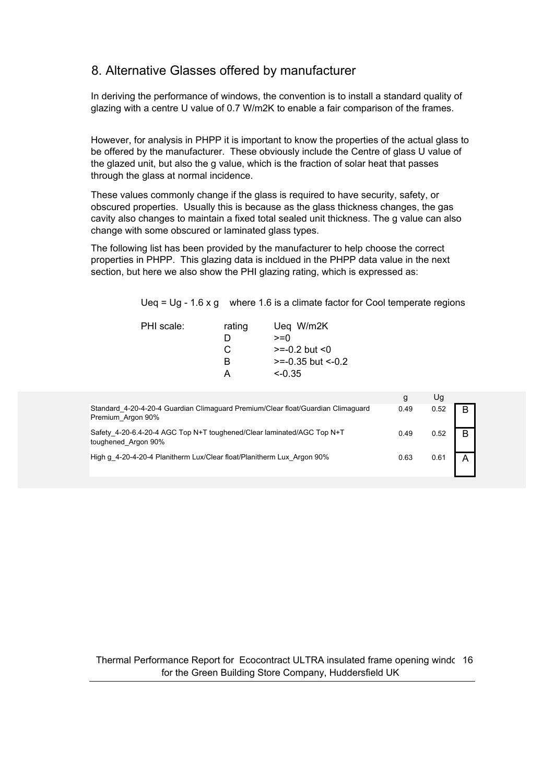### 8. Alternative Glasses offered by manufacturer

In deriving the performance of windows, the convention is to install a standard quality of glazing with a centre U value of 0.7 W/m2K to enable a fair comparison of the frames.

However, for analysis in PHPP it is important to know the properties of the actual glass to be offered by the manufacturer. These obviously include the Centre of glass U value of the glazed unit, but also the g value, which is the fraction of solar heat that passes through the glass at normal incidence.

These values commonly change if the glass is required to have security, safety, or obscured properties. Usually this is because as the glass thickness changes, the gas cavity also changes to maintain a fixed total sealed unit thickness. The g value can also change with some obscured or laminated glass types.

The following list has been provided by the manufacturer to help choose the correct properties in PHPP. This glazing data is incldued in the PHPP data value in the next section, but here we also show the PHI glazing rating, which is expressed as:

Ueg =  $Uq - 1.6 x q$  where 1.6 is a climate factor for Cool temperate regions

| $>= -0.2$ but $< 0$    |  |
|------------------------|--|
| $>= -0.35$ but $<-0.2$ |  |
|                        |  |
|                        |  |

|                                                                                                       | g    | Uq   |    |
|-------------------------------------------------------------------------------------------------------|------|------|----|
| Standard 4-20-4-20-4 Guardian Climaguard Premium/Clear float/Guardian Climaguard<br>Premium Argon 90% | 0.49 | 0.52 | R. |
| Safety 4-20-6.4-20-4 AGC Top N+T toughened/Clear laminated/AGC Top N+T<br>toughened Argon 90%         | 0.49 | 0.52 | B  |
| High g 4-20-4-20-4 Planitherm Lux/Clear float/Planitherm Lux Argon 90%                                | 0.63 | 0.61 |    |

#### Thermal Performance Report for Ecocontract ULTRA insulated frame opening window for the Green Building Store Company, Huddersfield UK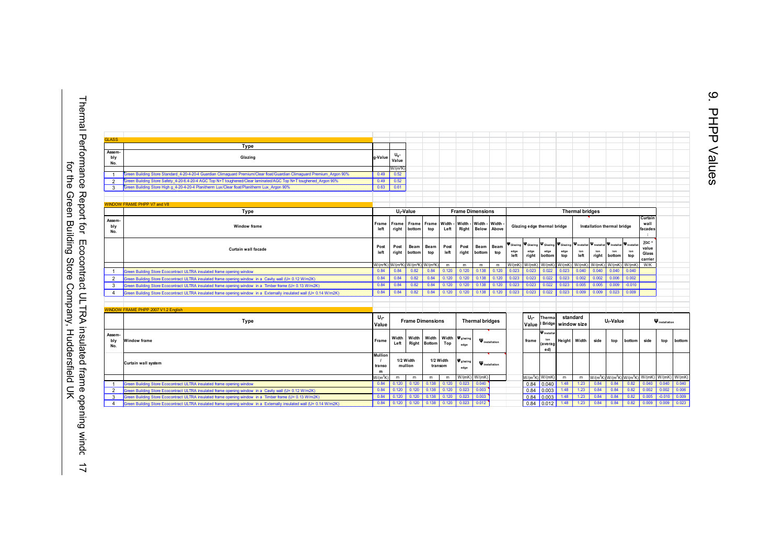Thermal Performance Report for Ecocontract ULTRA insulated frame opening windc 17<br>for the Green Building Store Company, Huddersfield UK Thermal Performance Report for Ecocontract ULTRA insulated frame opening window for the Green Building Store Company, Huddersfield UK

| <b>GLASS</b>         |                                                                                                                         |                        |                                                   |                                              |                                          |                         |                                |                        |                       |                             |                                                                       |                                             |                             |                            |                       |                                |                                         |                                                                                     |          |        |
|----------------------|-------------------------------------------------------------------------------------------------------------------------|------------------------|---------------------------------------------------|----------------------------------------------|------------------------------------------|-------------------------|--------------------------------|------------------------|-----------------------|-----------------------------|-----------------------------------------------------------------------|---------------------------------------------|-----------------------------|----------------------------|-----------------------|--------------------------------|-----------------------------------------|-------------------------------------------------------------------------------------|----------|--------|
|                      | Type                                                                                                                    |                        |                                                   |                                              |                                          |                         |                                |                        |                       |                             |                                                                       |                                             |                             |                            |                       |                                |                                         |                                                                                     |          |        |
| Assem-<br>bly<br>No. | Glazing                                                                                                                 | g-Value                | Value                                             |                                              |                                          |                         |                                |                        |                       |                             |                                                                       |                                             |                             |                            |                       |                                |                                         |                                                                                     |          |        |
| $\overline{1}$       | Green Building Store Standard 4-20-4-20-4 Guardian Climaguard Premium/Clear float/Guardian Climaguard Premium Argon 90% | 0.49                   | W/(m <sup>2</sup> K)<br>0.52                      |                                              |                                          |                         |                                |                        |                       |                             |                                                                       |                                             |                             |                            |                       |                                |                                         |                                                                                     |          |        |
| 2                    | Green Building Store Safety 4-20-6.4-20-4 AGC Top N+T toughened/Clear laminated/AGC Top N+T toughened Argon 90%         | 0.49                   | 0.52                                              |                                              |                                          |                         |                                |                        |                       |                             |                                                                       |                                             |                             |                            |                       |                                |                                         |                                                                                     |          |        |
| 3                    | Green Building Store High g 4-20-4-20-4 Planitherm Lux/Clear float/Planitherm Lux Argon 90%                             | 0.63                   | 0.61                                              |                                              |                                          |                         |                                |                        |                       |                             |                                                                       |                                             |                             |                            |                       |                                |                                         |                                                                                     |          |        |
|                      |                                                                                                                         |                        |                                                   |                                              |                                          |                         |                                |                        |                       |                             |                                                                       |                                             |                             |                            |                       |                                |                                         |                                                                                     |          |        |
|                      |                                                                                                                         |                        |                                                   |                                              |                                          |                         |                                |                        |                       |                             |                                                                       |                                             |                             |                            |                       |                                |                                         |                                                                                     |          |        |
|                      | <b>WINDOW FRAME PHPP V7 and V8</b>                                                                                      |                        |                                                   |                                              |                                          |                         |                                |                        |                       |                             |                                                                       |                                             |                             |                            |                       |                                |                                         |                                                                                     |          |        |
|                      | Type                                                                                                                    | U <sub>f</sub> -Value  |                                                   |                                              |                                          | <b>Frame Dimensions</b> |                                |                        |                       | <b>Thermal bridges</b>      |                                                                       |                                             |                             |                            |                       |                                |                                         |                                                                                     |          |        |
| Assem-<br>bly<br>No. | <b>Window frame</b>                                                                                                     | Frame<br>left          | Frame<br>Frame<br>Frame<br>right<br>bottom<br>top |                                              | Width<br>Left                            |                         | Width - Width -<br>Right Below | Width<br>Above         |                       | Glazing edge thermal bridge |                                                                       |                                             | Installation thermal bridge |                            |                       |                                | Curtain<br>wall<br>facades<br>$\cdot$ : |                                                                                     |          |        |
|                      | <b>Curtain wall facade</b>                                                                                              | Post<br>left           | Post<br>right                                     | Beam<br>bottom                               | Beam<br>top                              | Post<br>left            | Post<br>right                  | Beam<br>bottom         | Beam<br>top           | edge<br>left                | <b>V</b> Glazing   V Glazing   V Glazing   V Glazing<br>edae<br>right | edge<br>bottom                              | edge<br>top                 | P Installat<br>left        | P Installat<br>right  | Finstallat Pinstalla<br>bottom | ion<br>top                              | $\gamma$ GC -<br>value<br>Glass<br>carrier                                          |          |        |
|                      |                                                                                                                         |                        | W/(m <sup>2</sup> K) W/(m <sup>2</sup> K)         |                                              | W/(m <sup>2</sup> K) W/(m <sup>2</sup> K | m                       | m                              | m                      | m                     |                             | $W/(mK)$ $W/(mK)$ $W/(mK)$                                            |                                             |                             | $W/(mK)$ $W/(mK)$ $W/(mK)$ |                       | W/(mK)                         | W/(mK)                                  | W/K                                                                                 |          |        |
| $\overline{1}$       | Green Building Store Ecocontract ULTRA insulated frame opening window                                                   | 0.84                   | 0.84                                              | 0.82                                         | 0.84                                     | 0.120                   | 0.120                          | 0.138                  | 0.120                 | 0.023                       | 0.023                                                                 | 0.022                                       | 0.023                       | 0.040                      | 0.040                 | 0.040                          | 0.040                                   |                                                                                     |          |        |
| $\overline{2}$       | Green Building Store Ecocontract ULTRA insulated frame opening window in a Cavity wall (U= 0.12 W/m2K)                  | 0.84                   | 0.84                                              | 0.82                                         | 0.84                                     | 0.120                   | 0.120                          | 0.138                  | 0.120                 | 0.023                       | 0.023                                                                 | 0.022                                       | 0.023                       | 0.002                      | 0.002                 | 0.006                          | 0.002                                   |                                                                                     |          |        |
| 3                    | Green Building Store Ecocontract ULTRA insulated frame opening window in a Timber frame (U= 0.13 W/m2K)                 | 0.84                   | 0.84                                              | 0.82                                         | 0.84                                     | 0.120                   | 0.120                          | 0.138                  | 0.120                 | 0.023                       | 0.023                                                                 | 0.022                                       | 0.023                       | 0.005                      | 0.005                 | 0.009                          | $-0.010$                                |                                                                                     |          |        |
| $\overline{4}$       | Green Building Store Ecocontract ULTRA insulated frame opening window in a Externally insulated wall (U= 0.14 W/m2K)    | 0.84                   | 0.84                                              | 0.82                                         | 0.84                                     | 0.120                   | 0.120                          | 0.138                  | 0.120                 | 0.023                       | 0.023                                                                 | 0.022                                       | 0.023                       | 0.009                      | 0.009                 | 0.023                          | 0.009                                   |                                                                                     |          |        |
|                      | <b>WINDOW FRAME PHPP 2007 V1.2 English</b>                                                                              |                        |                                                   |                                              |                                          |                         |                                |                        |                       |                             |                                                                       |                                             |                             |                            |                       |                                |                                         |                                                                                     |          |        |
|                      | Type                                                                                                                    | Ur-<br>Value           |                                                   | <b>Frame Dimensions</b>                      |                                          |                         |                                | <b>Thermal bridges</b> |                       |                             | U٠-<br><b>Thermal</b><br>Bridge window size<br>Value                  |                                             |                             | standard                   | U <sub>f</sub> -Value |                                |                                         | <b>W</b> installation                                                               |          |        |
| Assem-<br>bly<br>No. | Window frame                                                                                                            | Frame                  | Width<br>Left                                     | Width<br>Right                               | Width<br>Bottom                          | Width<br>Top            | <b>V</b> glazing<br>edge       |                        | <b>W</b> installation |                             | frame                                                                 | <b>W</b> installat<br>ion<br>(averag<br>ed) | Height                      | Width                      | side                  | top                            | bottom                                  | side                                                                                | top      | bottom |
|                      | Curtain wall system                                                                                                     | Mullion<br>transo<br>m |                                                   | 1/2 Width<br>1/2 Width<br>mullion<br>transom |                                          |                         | <b>W</b> glazing<br>edge       |                        | <b>W</b> installation |                             |                                                                       |                                             |                             |                            |                       |                                |                                         |                                                                                     |          |        |
|                      |                                                                                                                         | $W/(m^2K)$             | m.                                                | m                                            | m                                        | m                       | W/(mK)                         | W/(mK)                 |                       |                             | $W/(m^2K)$ W/(mK)                                                     |                                             | m                           | m                          |                       |                                |                                         | W/(m <sup>2</sup> K) W/(m <sup>2</sup> K) W/(m <sup>2</sup> K) W/(mK) W/(mK) W/(mK) |          |        |
| $\overline{1}$       | Green Building Store Ecocontract ULTRA insulated frame opening window                                                   | 0.84                   | 0.120                                             | 0.120                                        | 0.138                                    | 0.120                   | 0.023                          | 0.040                  |                       |                             | 0.84                                                                  | $\vert$ 0.040                               | 1.48                        | 1.23                       | 0.84                  | 0.84                           | 0.82                                    | 0.040                                                                               | 0.040    | 0.040  |
| $\overline{2}$       | Green Building Store Ecocontract ULTRA insulated frame opening window in a Cavity wall (U= 0.12 W/m2K)                  | 0.84                   | 0.120                                             | 0.120                                        | 0.138                                    | 0.120                   | 0.023                          | 0.003                  |                       |                             |                                                                       | $0.84$ 0.003                                | 1.48                        | 1.23                       | 0.84                  | 0.84                           | 0.82                                    | 0.002                                                                               | 0.002    | 0.006  |
| 3                    | Green Building Store Ecocontract ULTRA insulated frame opening window in a Timber frame (U= 0.13 W/m2K)                 | 0.84                   | 0.120                                             | 0.120                                        | 0.138                                    | 0.120                   | 0.023                          | 0.003                  |                       |                             |                                                                       | $0.84$ 0.003                                | 1.48                        | 1.23                       | 0.84                  | 0.84                           | 0.82                                    | 0.005                                                                               | $-0.010$ | 0.009  |
| $\overline{4}$       | Green Building Store Ecocontract ULTRA insulated frame opening window in a Externally insulated wall (U= 0.14 W/m2K)    | 0.84                   | 0.120                                             | 0.120                                        | 0.138                                    | 0.120                   | 0.023                          | 0.012                  |                       |                             |                                                                       | $0.84$ 0.012                                | 1.48                        | 1.23                       | 0.84                  | 0.84                           | 0.82                                    | 0.009                                                                               | 0.009    | 0.023  |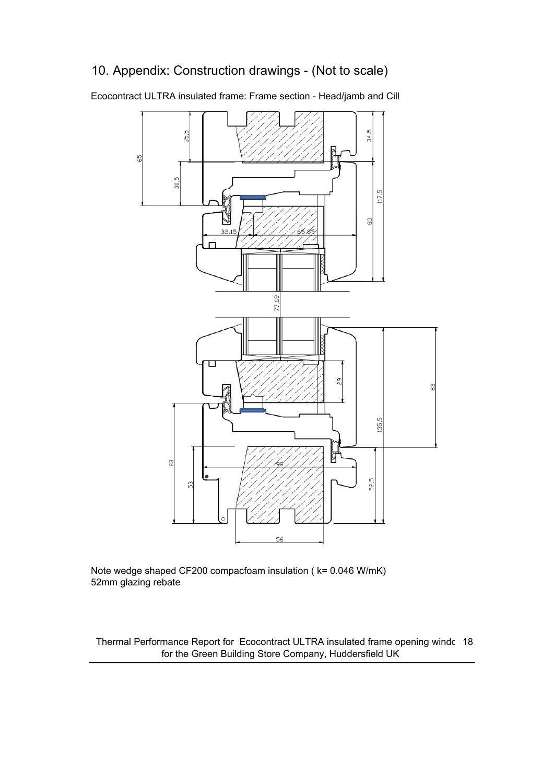### 10. Appendix: Construction drawings - (Not to scale)

65

34,5 35,5  $30,5$ 117,5  $\frac{8}{2}$  $32,1$ 77,69 බ 8 135,5 ÿ 8 52,5 ္ဟ  $\circ$ 

Ecocontract ULTRA insulated frame: Frame section - Head/jamb and Cill

Note wedge shaped CF200 compacfoam insulation ( k= 0.046 W/mK) 52mm glazing rebate

Thermal Performance Report for Ecocontract ULTRA insulated frame opening windc 18 for the Green Building Store Company, Huddersfield UK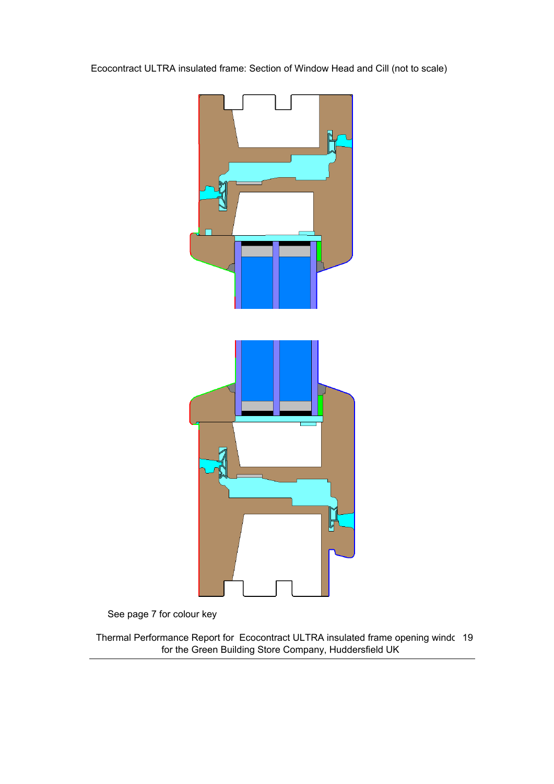Ecocontract ULTRA insulated frame: Section of Window Head and Cill (not to scale)



See page 7 for colour key

Thermal Performance Report for Ecocontract ULTRA insulated frame opening window19 for the Green Building Store Company, Huddersfield UK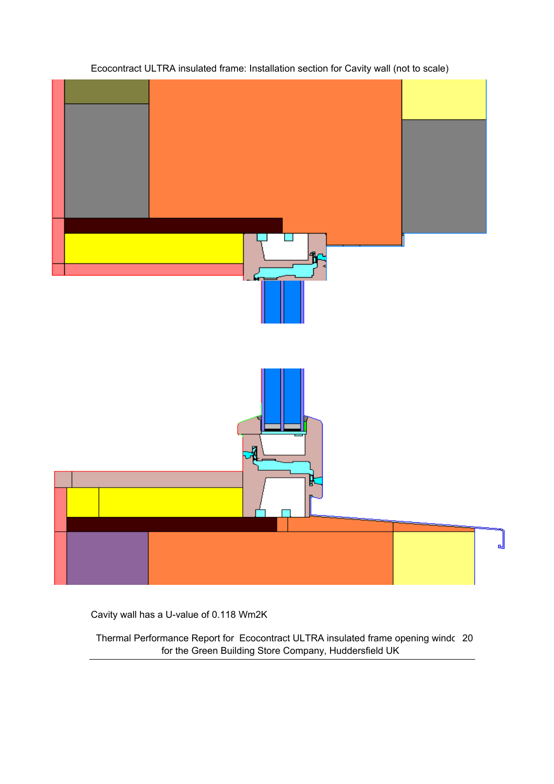

### Ecocontract ULTRA insulated frame: Installation section for Cavity wall (not to scale)

Cavity wall has a U-value of 0.118 Wm2K

Thermal Performance Report for Ecocontract ULTRA insulated frame opening windc 20 for the Green Building Store Company, Huddersfield UK

ᆡ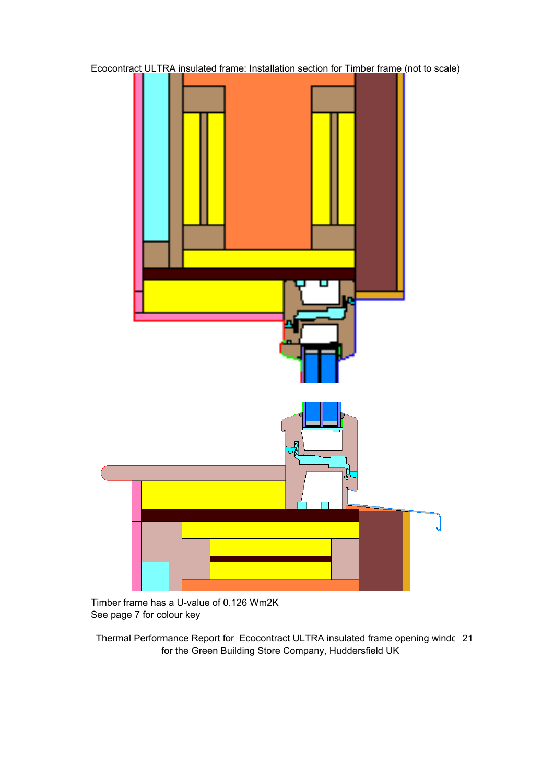

Timber frame has a U-value of 0.126 Wm2K See page 7 for colour key

Thermal Performance Report for Ecocontract ULTRA insulated frame opening windc 21 for the Green Building Store Company, Huddersfield UK